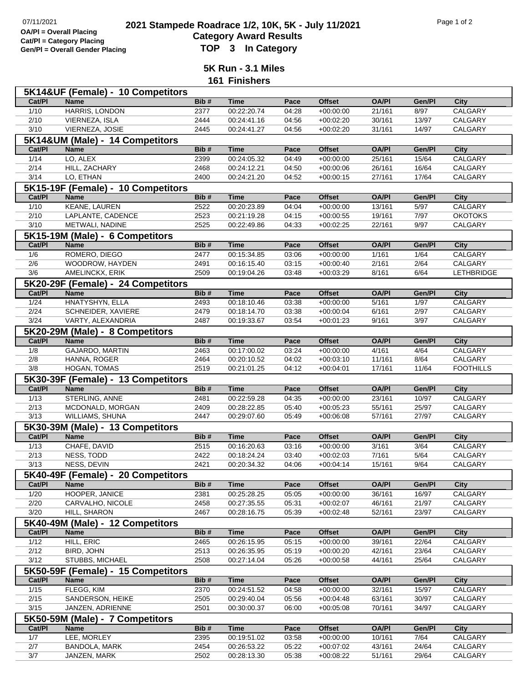**Cat/Pl = Category Placing**

## **2021 2021 Stampede Roadrace 1/2, 10K, 5K - July 11/2021** Page 1 of 2<br> **Computer Continues Continues Page 1** October 112, 10K, 5K - July 11/2021 **Category Award Results Gen/Pl = Overall Gender Placing TOP 3 In Category**

**5K Run - 3.1 Miles 161 Finishers**

|                | 5K14&UF (Female) - 10 Competitors  |      |             |       |               |              |        |                  |
|----------------|------------------------------------|------|-------------|-------|---------------|--------------|--------|------------------|
| Cat/PI         | <b>Name</b>                        | Bib# | <b>Time</b> | Pace  | <b>Offset</b> | <b>OA/PI</b> | Gen/Pl | City             |
| $1/10$         | HARRIS, LONDON                     | 2377 | 00:22:20.74 | 04:28 | $+00:00:00$   | 21/161       | 8/97   | <b>CALGARY</b>   |
| 2/10           | VIERNEZA, ISLA                     | 2444 | 00:24:41.16 | 04:56 | $+00:02:20$   | 30/161       | 13/97  | CALGARY          |
| 3/10           | VIERNEZA, JOSIE                    | 2445 | 00:24:41.27 | 04:56 | $+00:02:20$   | 31/161       | 14/97  | CALGARY          |
|                | 5K14&UM (Male) - 14 Competitors    |      |             |       |               |              |        |                  |
| Cat/PI         | <b>Name</b>                        | Bib# | <b>Time</b> | Pace  | <b>Offset</b> | <b>OA/PI</b> | Gen/Pl | <b>City</b>      |
| 1/14           | LO, ALEX                           | 2399 | 00:24:05.32 | 04:49 | $+00:00:00$   | 25/161       | 15/64  | <b>CALGARY</b>   |
| 2/14           | HILL, ZACHARY                      | 2468 | 00:24:12.21 | 04:50 | $+00:00:06$   | 26/161       | 16/64  | CALGARY          |
| 3/14           | LO, ETHAN                          | 2400 | 00:24:21.20 | 04:52 | $+00:00:15$   | 27/161       | 17/64  | CALGARY          |
|                | 5K15-19F (Female) - 10 Competitors |      |             |       |               |              |        |                  |
| Cat/PI         | <b>Name</b>                        | Bib# | <b>Time</b> | Pace  | <b>Offset</b> | <b>OA/PI</b> | Gen/Pl | <b>City</b>      |
| $1/10$         | <b>KEANE, LAUREN</b>               | 2522 | 00:20:23.89 | 04:04 | $+00:00:00$   | 13/161       | 5/97   | CALGARY          |
| 2/10           | LAPLANTE, CADENCE                  | 2523 | 00:21:19.28 | 04:15 | $+00:00:55$   | 19/161       | 7/97   | <b>OKOTOKS</b>   |
| 3/10           | METWALI, NADINE                    | 2525 | 00:22:49.86 | 04:33 | $+00:02:25$   | 22/161       | 9/97   | CALGARY          |
|                | 5K15-19M (Male) - 6 Competitors    |      |             |       |               |              |        |                  |
| Cat/PI         | <b>Name</b>                        | Bib# | <b>Time</b> | Pace  | <b>Offset</b> | <b>OA/PI</b> | Gen/Pl | <b>City</b>      |
| 1/6            | ROMERO, DIEGO                      | 2477 | 00:15:34.85 | 03:06 | $+00:00:00$   | 1/161        | 1/64   | CALGARY          |
| 2/6            | WOODROW, HAYDEN                    | 2491 | 00:16:15.40 | 03:15 | $+00:00:40$   | 2/161        | 2/64   | CALGARY          |
| 3/6            | AMELINCKX, ERIK                    | 2509 | 00:19:04.26 | 03:48 | $+00:03:29$   | 8/161        | 6/64   | LETHBRIDGE       |
|                | 5K20-29F (Female) - 24 Competitors |      |             |       |               |              |        |                  |
| Cat/PI         | <b>Name</b>                        | Bib# | <b>Time</b> | Pace  | <b>Offset</b> | <b>OA/PI</b> | Gen/Pl | <b>City</b>      |
| $\frac{1}{24}$ | HNATYSHYN, ELLA                    | 2493 | 00:18:10.46 | 03:38 | $+00:00:00$   | 5/161        | 1/97   | CALGARY          |
| 2/24           | SCHNEIDER, XAVIERE                 | 2479 | 00:18:14.70 | 03:38 | $+00:00:04$   | 6/161        | 2/97   | CALGARY          |
| 3/24           | VARTY, ALEXANDRIA                  | 2487 | 00:19:33.67 | 03:54 | $+00:01:23$   | 9/161        | 3/97   | CALGARY          |
|                | 5K20-29M (Male) - 8 Competitors    |      |             |       |               |              |        |                  |
| Cat/PI         | <b>Name</b>                        | Bib# | <b>Time</b> | Pace  | <b>Offset</b> | <b>OA/PI</b> | Gen/Pl | <b>City</b>      |
| 1/8            | <b>GAJARDO, MARTIN</b>             | 2463 | 00:17:00.02 | 03:24 | $+00:00:00$   | 4/161        | 4/64   | <b>CALGARY</b>   |
| 2/8            | HANNA, ROGER                       | 2464 | 00:20:10.52 | 04:02 | $+00:03:10$   | 11/161       | 8/64   | CALGARY          |
| 3/8            | HOGAN, TOMAS                       | 2519 | 00:21:01.25 | 04:12 | $+00:04:01$   | 17/161       | 11/64  | <b>FOOTHILLS</b> |
|                | 5K30-39F (Female) - 13 Competitors |      |             |       |               |              |        |                  |
| Cat/PI         | <b>Name</b>                        | Bib# | <b>Time</b> | Pace  | <b>Offset</b> | <b>OA/PI</b> | Gen/Pl | <b>City</b>      |
| $\frac{1}{13}$ | STERLING, ANNE                     | 2481 | 00:22:59.28 | 04:35 | $+00:00:00$   | 23/161       | 10/97  | CALGARY          |
| 2/13           | MCDONALD, MORGAN                   | 2409 | 00:28:22.85 | 05:40 | $+00:05:23$   | 55/161       | 25/97  | CALGARY          |
| 3/13           | WILLIAMS, SHUNA                    | 2447 | 00:29:07.60 | 05:49 | $+00:06:08$   | 57/161       | 27/97  | CALGARY          |
|                | 5K30-39M (Male) - 13 Competitors   |      |             |       |               |              |        |                  |
| Cat/Pl         | <b>Name</b>                        | Bib# | <b>Time</b> | Pace  | <b>Offset</b> | <b>OA/PI</b> | Gen/Pl | <b>City</b>      |
| $\frac{1}{13}$ | CHAFE, DAVID                       | 2515 | 00:16:20.63 | 03:16 | $+00:00:00$   | 3/161        | 3/64   | CALGARY          |
| 2/13           | <b>NESS, TODD</b>                  | 2422 | 00:18:24.24 | 03:40 | $+00:02:03$   | 7/161        | 5/64   | CALGARY          |
| 3/13           | NESS, DEVIN                        | 2421 | 00:20:34.32 | 04:06 | $+00:04:14$   | 15/161       | 9/64   | CALGARY          |
|                | 5K40-49F (Female) - 20 Competitors |      |             |       |               |              |        |                  |
| Cat/PI         | <b>Name</b>                        | Bib# | <b>Time</b> | Pace  | <b>Offset</b> | <b>OA/PI</b> | Gen/Pl | <b>City</b>      |
| 1/20           | HOOPER, JANICE                     | 2381 | 00:25:28.25 | 05:05 | $+00:00:00$   | 36/161       | 16/97  | CALGARY          |
| 2/20           | CARVALHO, NICOLE                   | 2458 | 00:27:35.55 | 05:31 | $+00:02:07$   | 46/161       | 21/97  | CALGARY          |
| 3/20           | HILL, SHARON                       | 2467 | 00:28:16.75 | 05:39 | $+00:02:48$   | 52/161       | 23/97  | CALGARY          |
|                | 5K40-49M (Male) - 12 Competitors   |      |             |       |               |              |        |                  |
| Cat/PI         | <b>Name</b>                        | Bib# | <b>Time</b> | Pace  | <b>Offset</b> | <b>OA/PI</b> | Gen/Pl | <b>City</b>      |
| 1/12           | HILL, ERIC                         | 2465 | 00:26:15.95 | 05:15 | $+00:00:00$   | 39/161       | 22/64  | <b>CALGARY</b>   |
| 2/12           | <b>BIRD, JOHN</b>                  | 2513 | 00:26:35.95 | 05:19 | $+00:00:20$   | 42/161       | 23/64  | CALGARY          |
| 3/12           | STUBBS, MICHAEL                    | 2508 | 00:27:14.04 | 05:26 | $+00:00:58$   | 44/161       | 25/64  | CALGARY          |
|                | 5K50-59F (Female) - 15 Competitors |      |             |       |               |              |        |                  |
| Cat/PI         | Name                               | Bib# | <b>Time</b> | Pace  | <b>Offset</b> | <b>OA/PI</b> | Gen/Pl | <b>City</b>      |
| 1/15           | FLEGG, KIM                         | 2370 | 00:24:51.52 | 04:58 | $+00:00:00$   | 32/161       | 15/97  | <b>CALGARY</b>   |
| 2/15           | SANDERSON, HEIKE                   | 2505 | 00:29:40.04 | 05:56 | $+00:04:48$   | 63/161       | 30/97  | CALGARY          |
| 3/15           | JANZEN, ADRIENNE                   | 2501 | 00:30:00.37 | 06:00 | $+00:05:08$   | 70/161       | 34/97  | CALGARY          |
|                | 5K50-59M (Male) - 7 Competitors    |      |             |       |               |              |        |                  |
| Cat/PI         | <b>Name</b>                        | Bib# | <b>Time</b> | Pace  | <b>Offset</b> | <b>OA/PI</b> | Gen/Pl | <b>City</b>      |
| 1/7            | LEE, MORLEY                        | 2395 | 00:19:51.02 | 03:58 | $+00:00:00$   | 10/161       | 7/64   | <b>CALGARY</b>   |
| 2/7            | BANDOLA, MARK                      | 2454 | 00:26:53.22 | 05:22 | $+00:07:02$   | 43/161       | 24/64  | CALGARY          |
|                |                                    | 2502 | 00:28:13.30 | 05:38 | $+00:08:22$   | 51/161       | 29/64  | CALGARY          |
| $3/7$          | JANZEN, MARK                       |      |             |       |               |              |        |                  |